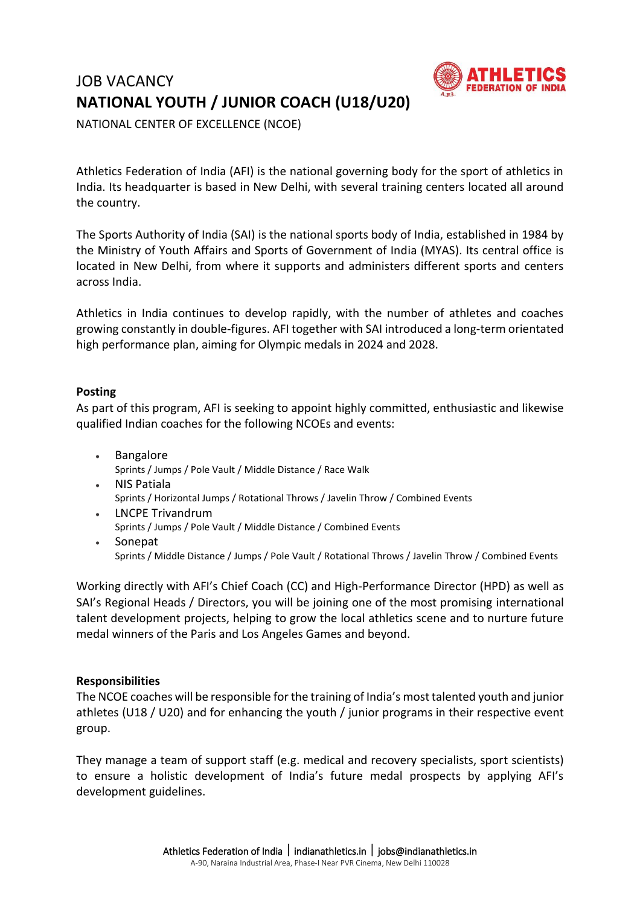# JOB VACANCY **NATIONAL YOUTH / JUNIOR COACH (U18/U20)**



NATIONAL CENTER OF EXCELLENCE (NCOE)

Athletics Federation of India (AFI) is the national governing body for the sport of athletics in India. Its headquarter is based in New Delhi, with several training centers located all around the country.

The Sports Authority of India (SAI) is the national sports body of India, established in 1984 by the Ministry of Youth Affairs and Sports of Government of India (MYAS). Its central office is located in New Delhi, from where it supports and administers different sports and centers across India.

Athletics in India continues to develop rapidly, with the number of athletes and coaches growing constantly in double-figures. AFI together with SAI introduced a long-term orientated high performance plan, aiming for Olympic medals in 2024 and 2028.

# **Posting**

As part of this program, AFI is seeking to appoint highly committed, enthusiastic and likewise qualified Indian coaches for the following NCOEs and events:

- Bangalore Sprints / Jumps / Pole Vault / Middle Distance / Race Walk
- NIS Patiala Sprints / Horizontal Jumps / Rotational Throws / Javelin Throw / Combined Events
- LNCPE Trivandrum Sprints / Jumps / Pole Vault / Middle Distance / Combined Events Sonepat

Sprints / Middle Distance / Jumps / Pole Vault / Rotational Throws / Javelin Throw / Combined Events

Working directly with AFI's Chief Coach (CC) and High-Performance Director (HPD) as well as SAI's Regional Heads / Directors, you will be joining one of the most promising international talent development projects, helping to grow the local athletics scene and to nurture future medal winners of the Paris and Los Angeles Games and beyond.

# **Responsibilities**

The NCOE coaches will be responsible for the training of India's most talented youth and junior athletes (U18 / U20) and for enhancing the youth / junior programs in their respective event group.

They manage a team of support staff (e.g. medical and recovery specialists, sport scientists) to ensure a holistic development of India's future medal prospects by applying AFI's development guidelines.